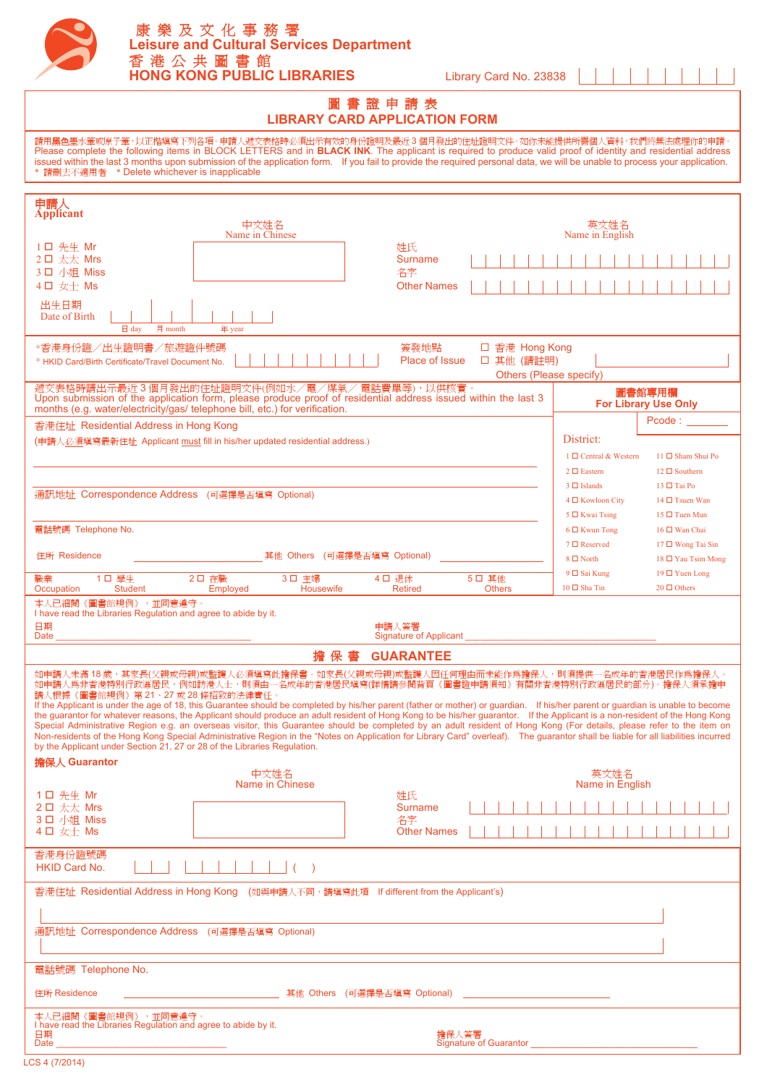

# <sup>圖</sup> <sup>書</sup> <sup>證</sup> <sup>申</sup> <sup>請</sup> <sup>表</sup> **LIBRARY CARD APPLICATION FORM**

請用**黑色**墨水筆或原子筆,以正楷塡寫下列各項。申請人遞交表格時必須出示有效的身份證明及最近 3 個月發出的住址證明文件。如你未能提供所需個人資料,我們將無法處理你的申請。<br>Please complete the following items in BLOCK LETTERS and in **BLACK INK**. The applicant is required to produce valid proof of identity issued within the last 3 months upon submission of the application form. If you fail to provide the required personal data, we will be unable to process your application.<br>\* 請刪去不適用者 \* Delete whichever is inapplicable

| 申請人<br><b>Applicant</b>                                                                                                                                                                                                                                                                                                                                                                                                                                                                                                                                                                                                                                                                                                                                                                                                                                                                                                                                                                                                              |                                                                                                                |  |
|--------------------------------------------------------------------------------------------------------------------------------------------------------------------------------------------------------------------------------------------------------------------------------------------------------------------------------------------------------------------------------------------------------------------------------------------------------------------------------------------------------------------------------------------------------------------------------------------------------------------------------------------------------------------------------------------------------------------------------------------------------------------------------------------------------------------------------------------------------------------------------------------------------------------------------------------------------------------------------------------------------------------------------------|----------------------------------------------------------------------------------------------------------------|--|
| 中文姓名<br>Name in Chinese                                                                                                                                                                                                                                                                                                                                                                                                                                                                                                                                                                                                                                                                                                                                                                                                                                                                                                                                                                                                              | Name in English                                                                                                |  |
| $1$ ロ 先生 Mr<br>2口 太太 Mrs<br>3口 小姐 Miss                                                                                                                                                                                                                                                                                                                                                                                                                                                                                                                                                                                                                                                                                                                                                                                                                                                                                                                                                                                               | 姓氏<br><b>Surname</b><br>名字                                                                                     |  |
| 4口 女士 Ms<br>出生日期                                                                                                                                                                                                                                                                                                                                                                                                                                                                                                                                                                                                                                                                                                                                                                                                                                                                                                                                                                                                                     | <b>Other Names</b>                                                                                             |  |
| Date of Birth<br>$\boxminus$ day<br>月 month<br>年 year                                                                                                                                                                                                                                                                                                                                                                                                                                                                                                                                                                                                                                                                                                                                                                                                                                                                                                                                                                                |                                                                                                                |  |
| 簽發地點<br>□ 香港 Hong Kong<br>*香港身份證/出生證明書/旅遊證件號碼<br>Place of Issue<br>口 其他 (請註明)<br>* HKID Card/Birth Certificate/Travel Document No.<br>Others (Please specify)                                                                                                                                                                                                                                                                                                                                                                                                                                                                                                                                                                                                                                                                                                                                                                                                                                                                        |                                                                                                                |  |
| 遞交表格時請出示最近3個月發出的住址證明文件(例如水/電/煤氣/電話費單等),以供核實。<br>圖書館專用欄<br>Upon submission of the application form, please produce proof of residential address issued within the last 3<br><b>For Library Use Only</b><br>months (e.g. water/electricity/gas/ telephone bill, etc.) for verification.                                                                                                                                                                                                                                                                                                                                                                                                                                                                                                                                                                                                                                                                                                                                                |                                                                                                                |  |
| 香港住址 Residential Address in Hong Kong                                                                                                                                                                                                                                                                                                                                                                                                                                                                                                                                                                                                                                                                                                                                                                                                                                                                                                                                                                                                | Pcode:                                                                                                         |  |
| (申請人必須塡寫最新住址 Applicant must fill in his/her updated residential address.)                                                                                                                                                                                                                                                                                                                                                                                                                                                                                                                                                                                                                                                                                                                                                                                                                                                                                                                                                            | District:                                                                                                      |  |
|                                                                                                                                                                                                                                                                                                                                                                                                                                                                                                                                                                                                                                                                                                                                                                                                                                                                                                                                                                                                                                      | 1 □ Central & Western<br>11 □ Sham Shui Po<br>$2 \Box$ Eastern<br>12 □ Southern                                |  |
|                                                                                                                                                                                                                                                                                                                                                                                                                                                                                                                                                                                                                                                                                                                                                                                                                                                                                                                                                                                                                                      | $3 \Box$ Islands<br>13 □ Tai Po                                                                                |  |
| 通訊地址 Correspondence Address (可選擇是否填寫 Optional)                                                                                                                                                                                                                                                                                                                                                                                                                                                                                                                                                                                                                                                                                                                                                                                                                                                                                                                                                                                       | 4 □ Kowloon City<br>14 □ Tsuen Wan                                                                             |  |
| 電話號碼 Telephone No.                                                                                                                                                                                                                                                                                                                                                                                                                                                                                                                                                                                                                                                                                                                                                                                                                                                                                                                                                                                                                   | 5 □ Kwai Tsing<br>$15 \Box$ Tuen Mun<br>$6 \Box$ Kwun Tong<br>$16 \Box$ Wan Chai                               |  |
|                                                                                                                                                                                                                                                                                                                                                                                                                                                                                                                                                                                                                                                                                                                                                                                                                                                                                                                                                                                                                                      | 7 □ Reserved<br>17 □ Wong Tai Sin                                                                              |  |
| 住所 Residence<br>其他 Others (可選擇是否填寫 Optional)                                                                                                                                                                                                                                                                                                                                                                                                                                                                                                                                                                                                                                                                                                                                                                                                                                                                                                                                                                                         | $8 \Box$ North<br>18 □ Yau Tsim Mong                                                                           |  |
| 1口 學生<br>3口 主婦<br>4口 退休<br>職業<br>2口 在職<br>Housewife<br>Occupation<br><b>Student</b><br>Employed                                                                                                                                                                                                                                                                                                                                                                                                                                                                                                                                                                                                                                                                                                                                                                                                                                                                                                                                      | 9 □ Sai Kung<br>19 □ Yuen Long<br>5口 其他<br>10 □ Sha Tin<br>$20 \Box$ Others<br><b>Retired</b><br><b>Others</b> |  |
| 本人已細閱《圖書館規例》,並同意遵守。                                                                                                                                                                                                                                                                                                                                                                                                                                                                                                                                                                                                                                                                                                                                                                                                                                                                                                                                                                                                                  |                                                                                                                |  |
| I have read the Libraries Regulation and agree to abide by it.<br>日期<br>申請人簽署<br>Date<br>Signature of Applicant <u>Communications</u>                                                                                                                                                                                                                                                                                                                                                                                                                                                                                                                                                                                                                                                                                                                                                                                                                                                                                                |                                                                                                                |  |
| 擔保書 GUARANTEE                                                                                                                                                                                                                                                                                                                                                                                                                                                                                                                                                                                                                                                                                                                                                                                                                                                                                                                                                                                                                        |                                                                                                                |  |
| 如申請人未滿 18 歲,其家長(父親或母親)或監護人必須塡寫此擔保書。如家長(父親或母親)或監護人因任何理由而未能作爲擔保人,則須提供一名成年的香港居民作爲擔保人。<br>如申請人爲非香港特別行政區居民,例如訪港人士,則須由一名成年的香港居民填寫(詳情請參閱背頁《圖書證申請須知》有關非香港特別行政區居民的部分)。擔保人須承擔申<br>請人根據《圖書館規例》第21、27或28條招致的法律責任。<br>If the Applicant is under the age of 18, this Guarantee should be completed by his/her parent (father or mother) or guardian. If his/her parent or guardian is unable to become<br>the guarantor for whatever reasons, the Applicant should produce an adult resident of Hong Kong to be his/her guarantor. If the Applicant is a non-resident of the Hong Kong<br>Special Administrative Region e.g. an overseas visitor, this Guarantee should be completed by an adult resident of Hong Kong (For details, please refer to the item on<br>Non-residents of the Hong Kong Special Administrative Region in the "Notes on Application for Library Card" overleaf). The guarantor shall be liable for all liabilities incurred<br>by the Applicant under Section 21, 27 or 28 of the Libraries Regulation.<br>擔保人 Guarantor |                                                                                                                |  |
| 中文姓名<br>Name in Chinese                                                                                                                                                                                                                                                                                                                                                                                                                                                                                                                                                                                                                                                                                                                                                                                                                                                                                                                                                                                                              | 英文姓名<br>Name in English                                                                                        |  |
| 1 口 先生 Mr<br>2口 太太 Mrs                                                                                                                                                                                                                                                                                                                                                                                                                                                                                                                                                                                                                                                                                                                                                                                                                                                                                                                                                                                                               | 姓氏<br>Surname                                                                                                  |  |
| 3口 小姐 Miss<br>4 口 女士 Ms                                                                                                                                                                                                                                                                                                                                                                                                                                                                                                                                                                                                                                                                                                                                                                                                                                                                                                                                                                                                              | 名字<br><b>Other Names</b>                                                                                       |  |
| 香港身份證號碼<br>HKID Card No.                                                                                                                                                                                                                                                                                                                                                                                                                                                                                                                                                                                                                                                                                                                                                                                                                                                                                                                                                                                                             |                                                                                                                |  |
|                                                                                                                                                                                                                                                                                                                                                                                                                                                                                                                                                                                                                                                                                                                                                                                                                                                                                                                                                                                                                                      |                                                                                                                |  |
| 香港住址 Residential Address in Hong Kong (如興申請人不同,請填寫此項 If different from the Applicant's)                                                                                                                                                                                                                                                                                                                                                                                                                                                                                                                                                                                                                                                                                                                                                                                                                                                                                                                                              |                                                                                                                |  |
|                                                                                                                                                                                                                                                                                                                                                                                                                                                                                                                                                                                                                                                                                                                                                                                                                                                                                                                                                                                                                                      |                                                                                                                |  |
| 通訊地址 Correspondence Address (可選擇是否填寫 Optional)                                                                                                                                                                                                                                                                                                                                                                                                                                                                                                                                                                                                                                                                                                                                                                                                                                                                                                                                                                                       |                                                                                                                |  |
| 電話號碼 Telephone No.                                                                                                                                                                                                                                                                                                                                                                                                                                                                                                                                                                                                                                                                                                                                                                                                                                                                                                                                                                                                                   |                                                                                                                |  |
| 住所 Residence                                                                                                                                                                                                                                                                                                                                                                                                                                                                                                                                                                                                                                                                                                                                                                                                                                                                                                                                                                                                                         |                                                                                                                |  |
| 本人已細閱《圖書館規例》,並同意遵守。<br>I have read the Libraries Regulation and agree to abide by it.<br>日期                                                                                                                                                                                                                                                                                                                                                                                                                                                                                                                                                                                                                                                                                                                                                                                                                                                                                                                                          | 擔保人簽署<br>Signature of Guarantor Management Communication of Guarantor Management Communication                 |  |